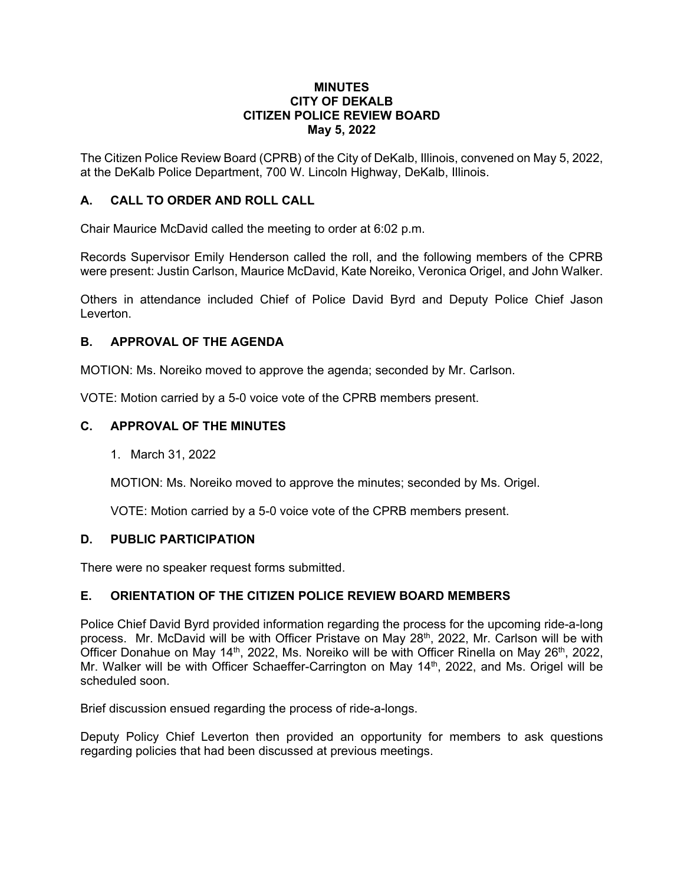#### **MINUTES CITY OF DEKALB CITIZEN POLICE REVIEW BOARD May 5, 2022**

The Citizen Police Review Board (CPRB) of the City of DeKalb, Illinois, convened on May 5, 2022, at the DeKalb Police Department, 700 W. Lincoln Highway, DeKalb, Illinois.

# **A. CALL TO ORDER AND ROLL CALL**

Chair Maurice McDavid called the meeting to order at 6:02 p.m.

Records Supervisor Emily Henderson called the roll, and the following members of the CPRB were present: Justin Carlson, Maurice McDavid, Kate Noreiko, Veronica Origel, and John Walker.

Others in attendance included Chief of Police David Byrd and Deputy Police Chief Jason Leverton.

# **B. APPROVAL OF THE AGENDA**

MOTION: Ms. Noreiko moved to approve the agenda; seconded by Mr. Carlson.

VOTE: Motion carried by a 5-0 voice vote of the CPRB members present.

# **C. APPROVAL OF THE MINUTES**

1. March 31, 2022

MOTION: Ms. Noreiko moved to approve the minutes; seconded by Ms. Origel.

VOTE: Motion carried by a 5-0 voice vote of the CPRB members present.

# **D. PUBLIC PARTICIPATION**

There were no speaker request forms submitted.

# **E. ORIENTATION OF THE CITIZEN POLICE REVIEW BOARD MEMBERS**

Police Chief David Byrd provided information regarding the process for the upcoming ride-a-long process. Mr. McDavid will be with Officer Pristave on May 28<sup>th</sup>, 2022, Mr. Carlson will be with Officer Donahue on May 14<sup>th</sup>, 2022, Ms. Noreiko will be with Officer Rinella on May 26<sup>th</sup>, 2022, Mr. Walker will be with Officer Schaeffer-Carrington on May 14<sup>th</sup>, 2022, and Ms. Origel will be scheduled soon.

Brief discussion ensued regarding the process of ride-a-longs.

Deputy Policy Chief Leverton then provided an opportunity for members to ask questions regarding policies that had been discussed at previous meetings.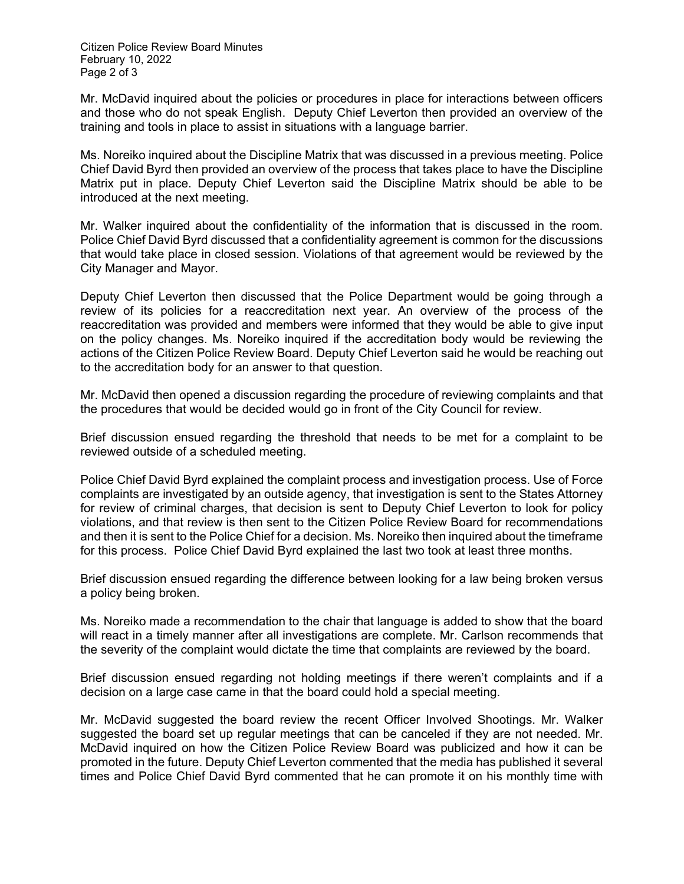Citizen Police Review Board Minutes February 10, 2022 Page 2 of 3

Mr. McDavid inquired about the policies or procedures in place for interactions between officers and those who do not speak English. Deputy Chief Leverton then provided an overview of the training and tools in place to assist in situations with a language barrier.

Ms. Noreiko inquired about the Discipline Matrix that was discussed in a previous meeting. Police Chief David Byrd then provided an overview of the process that takes place to have the Discipline Matrix put in place. Deputy Chief Leverton said the Discipline Matrix should be able to be introduced at the next meeting.

Mr. Walker inquired about the confidentiality of the information that is discussed in the room. Police Chief David Byrd discussed that a confidentiality agreement is common for the discussions that would take place in closed session. Violations of that agreement would be reviewed by the City Manager and Mayor.

Deputy Chief Leverton then discussed that the Police Department would be going through a review of its policies for a reaccreditation next year. An overview of the process of the reaccreditation was provided and members were informed that they would be able to give input on the policy changes. Ms. Noreiko inquired if the accreditation body would be reviewing the actions of the Citizen Police Review Board. Deputy Chief Leverton said he would be reaching out to the accreditation body for an answer to that question.

Mr. McDavid then opened a discussion regarding the procedure of reviewing complaints and that the procedures that would be decided would go in front of the City Council for review.

Brief discussion ensued regarding the threshold that needs to be met for a complaint to be reviewed outside of a scheduled meeting.

Police Chief David Byrd explained the complaint process and investigation process. Use of Force complaints are investigated by an outside agency, that investigation is sent to the States Attorney for review of criminal charges, that decision is sent to Deputy Chief Leverton to look for policy violations, and that review is then sent to the Citizen Police Review Board for recommendations and then it is sent to the Police Chief for a decision. Ms. Noreiko then inquired about the timeframe for this process. Police Chief David Byrd explained the last two took at least three months.

Brief discussion ensued regarding the difference between looking for a law being broken versus a policy being broken.

Ms. Noreiko made a recommendation to the chair that language is added to show that the board will react in a timely manner after all investigations are complete. Mr. Carlson recommends that the severity of the complaint would dictate the time that complaints are reviewed by the board.

Brief discussion ensued regarding not holding meetings if there weren't complaints and if a decision on a large case came in that the board could hold a special meeting.

Mr. McDavid suggested the board review the recent Officer Involved Shootings. Mr. Walker suggested the board set up regular meetings that can be canceled if they are not needed. Mr. McDavid inquired on how the Citizen Police Review Board was publicized and how it can be promoted in the future. Deputy Chief Leverton commented that the media has published it several times and Police Chief David Byrd commented that he can promote it on his monthly time with